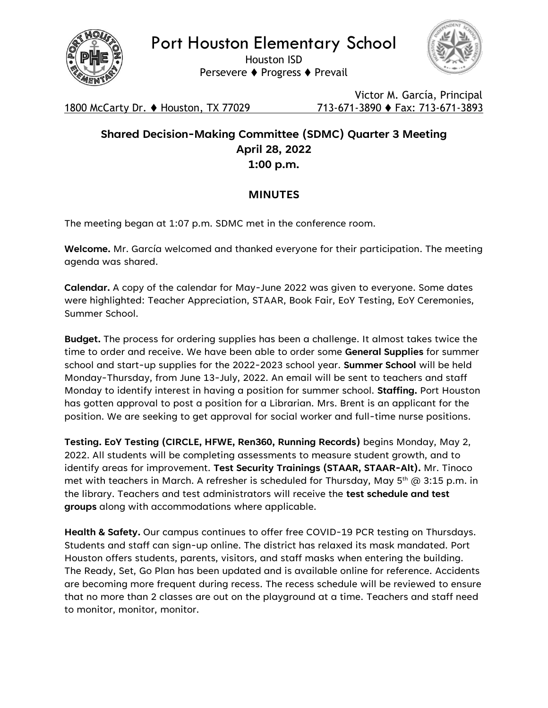

Port Houston Elementary School

Houston ISD Persevere ⧫ Progress ⧫ Prevail



1800 McCarty Dr. ⧫ Houston, TX 77029 713-671-3890 ⧫ Fax: 713-671-3893

Victor M. García, Principal

## **Shared Decision-Making Committee (SDMC) Quarter 3 Meeting April 28, 2022 1:00 p.m.**

## **MINUTES**

The meeting began at 1:07 p.m. SDMC met in the conference room.

**Welcome.** Mr. García welcomed and thanked everyone for their participation. The meeting agenda was shared.

**Calendar.** A copy of the calendar for May-June 2022 was given to everyone. Some dates were highlighted: Teacher Appreciation, STAAR, Book Fair, EoY Testing, EoY Ceremonies, Summer School.

**Budget.** The process for ordering supplies has been a challenge. It almost takes twice the time to order and receive. We have been able to order some **General Supplies** for summer school and start-up supplies for the 2022-2023 school year. **Summer School** will be held Monday-Thursday, from June 13-July, 2022. An email will be sent to teachers and staff Monday to identify interest in having a position for summer school. **Staffing.** Port Houston has gotten approval to post a position for a Librarian. Mrs. Brent is an applicant for the position. We are seeking to get approval for social worker and full-time nurse positions.

**Testing. EoY Testing (CIRCLE, HFWE, Ren360, Running Records)** begins Monday, May 2, 2022. All students will be completing assessments to measure student growth, and to identify areas for improvement. **Test Security Trainings (STAAR, STAAR-Alt).** Mr. Tinoco met with teachers in March. A refresher is scheduled for Thursday, May  $5^{th}$  @ 3:15 p.m. in the library. Teachers and test administrators will receive the **test schedule and test groups** along with accommodations where applicable.

**Health & Safety.** Our campus continues to offer free COVID-19 PCR testing on Thursdays. Students and staff can sign-up online. The district has relaxed its mask mandated. Port Houston offers students, parents, visitors, and staff masks when entering the building. The Ready, Set, Go Plan has been updated and is available online for reference. Accidents are becoming more frequent during recess. The recess schedule will be reviewed to ensure that no more than 2 classes are out on the playground at a time. Teachers and staff need to monitor, monitor, monitor.